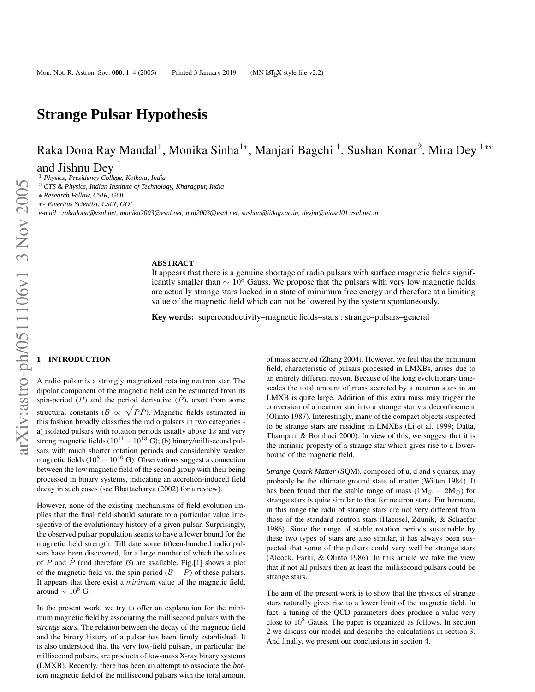# **Strange Pulsar Hypothesis**

Raka Dona Ray Mandal<sup>1</sup>, Monika Sinha<sup>1</sup>\*, Manjari Bagchi <sup>1</sup>, Sushan Konar<sup>2</sup>, Mira Dey <sup>1</sup>\*\*

and Jishnu Dey 1

<sup>1</sup> *Physics, Presidency College, Kolkata, India*

<sup>2</sup> *CTS & Physics, Indian Institute of Technology, Kharagpur, India*

∗ *Research Fellow, CSIR, GOI*

∗∗ *Emeritus Scientist, CSIR, GOI*

*e-mail : rakadona@vsnl.net, monika2003@vsnl.net, mnj2003@vsnl.net, sushan@iitkgp.ac.in, deyjm@giascl01.vsnl.net.in*

#### **ABSTRACT**

It appears that there is a genuine shortage of radio pulsars with surface magnetic fields significantly smaller than  $\sim 10^8$  Gauss. We propose that the pulsars with very low magnetic fields are actually strange stars locked in a state of minimum free energy and therefore at a limiting value of the magnetic field which can not be lowered by the system spontaneously.

**Key words:** superconductivity–magnetic fields–stars : strange–pulsars–general

### **1 INTRODUCTION**

A radio pulsar is a strongly magnetized rotating neutron star. The dipolar component of the magnetic field can be estimated from its spin-period  $(P)$  and the period derivative  $(\dot{P})$ , apart from some structural constants ( $\beta \propto \sqrt{P\dot{P}}$ ). Magnetic fields estimated in this fashion broadly classifies the radio pulsars in two categories a) isolated pulsars with rotation periods usually above  $1s$  and very strong magnetic fields  $(10^{11} - 10^{13} \text{ G})$ ; (b) binary/millisecond pulsars with much shorter rotation periods and considerably weaker magnetic fields  $(10^8 - 10^{10} \text{ G})$ . Observations suggest a connection between the low magnetic field of the second group with their being processed in binary systems, indicating an accretion-induced field decay in such cases (see Bhattacharya (2002) for a review).

However, none of the existing mechanisms of field evolution implies that the final field should saturate to a particular value irrespective of the evolutionary history of a given pulsar. Surprisingly, the observed pulsar population seems to have a lower bound for the magnetic field strength. Till date some fifteen-hundred radio pulsars have been discovered, for a large number of which the values of P and  $\dot{P}$  (and therefore B) are available. Fig.[1] shows a plot of the magnetic field vs. the spin period  $(B - P)$  of these pulsars. It appears that there exist a *minimum* value of the magnetic field, around  $\sim 10^8$  G.

In the present work, we try to offer an explanation for the minimum magnetic field by associating the millisecond pulsars with the *strange stars*. The relation between the decay of the magnetic field and the binary history of a pulsar has been firmly established. It is also understood that the very low-field pulsars, in particular the millisecond pulsars, are products of low-mass X-ray binary systems (LMXB). Recently, there has been an attempt to associate the *bottom* magnetic field of the millisecond pulsars with the total amount

of mass accreted (Zhang 2004). However, we feel that the minimum field, characteristic of pulsars processed in LMXBs, arises due to an entirely different reason. Because of the long evolutionary timescales the total amount of mass accreted by a neutron stars in an LMXB is quite large. Addition of this extra mass may trigger the conversion of a neutron star into a strange star via deconfinement (Olinto 1987). Interestingly, many of the compact objects suspected to be strange stars are residing in LMXBs (Li et al. 1999; Datta, Thampan, & Bombaci 2000). In view of this, we suggest that it i s the intrinsic property of a strange star which gives rise to a lowerbound of the magnetic field.

*Strange Quark Matter* (SQM), composed of u, d and s quarks, may probably be the ultimate ground state of matter (Witten 1984). It has been found that the stable range of mass ( $1M_{\odot} - 2M_{\odot}$ ) for strange stars is quite similar to that for neutron stars. Furthermore, in this range the radii of strange stars are not very different from those of the standard neutron stars (Haensel, Zdunik, & Schaefer 1986). Since the range of stable rotation periods sustainable by these two types of stars are also similar, it has always been suspected that some of the pulsars could very well be strange stars (Alcock, Farhi, & Olinto 1986). In this article we take the view that if not all pulsars then at least the millisecond pulsars could be strange stars.

The aim of the present work is to show that the physics of strange stars naturally gives rise to a lower limit of the magnetic field. In fact, a tuning of the QCD parameters does produce a value very close to  $10^8$  Gauss. The paper is organized as follows. In section 2 we discuss our model and describe the calculations in section 3. And finally, we present our conclusions in section 4.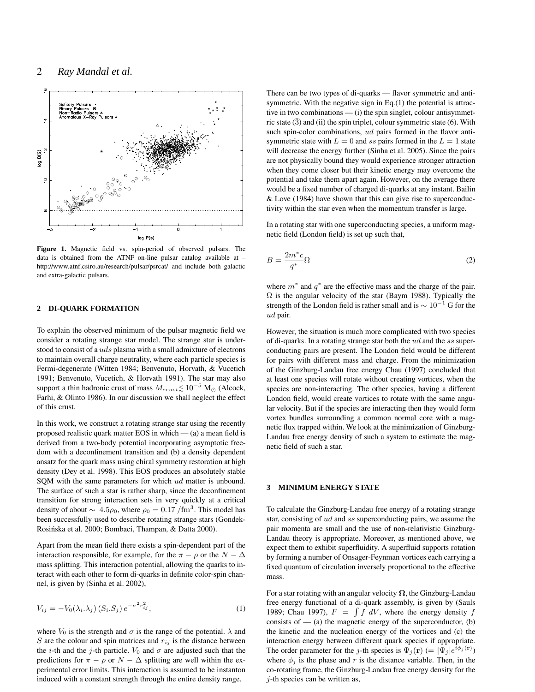

**Figure 1.** Magnetic field vs. spin-period of observed pulsars. The data is obtained from the ATNF on-line pulsar catalog available at – http://www.atnf.csiro.au/research/pulsar/psrcat/ and include both galactic and extra-galactic pulsars.

#### **2 DI-QUARK FORMATION**

To explain the observed minimum of the pulsar magnetic field we consider a rotating strange star model. The strange star is understood to consist of a uds plasma with a small admixture of electrons to maintain overall charge neutrality, where each particle species is Fermi-degenerate (Witten 1984; Benvenuto, Horvath, & Vucetich 1991; Benvenuto, Vucetich, & Horvath 1991). The star may also support a thin hadronic crust of mass  $M_{crust} \lesssim 10^{-5} \ \text{M}_{\odot}$  (Alcock, Farhi, & Olinto 1986). In our discussion we shall neglect the effect of this crust.

In this work, we construct a rotating strange star using the recently proposed realistic quark matter EOS in which  $-$  (a) a mean field is derived from a two-body potential incorporating asymptotic freedom with a deconfinement transition and (b) a density dependent ansatz for the quark mass using chiral symmetry restoration at high density (Dey et al. 1998). This EOS produces an absolutely stable SQM with the same parameters for which ud matter is unbound. The surface of such a star is rather sharp, since the deconfinement transition for strong interaction sets in very quickly at a critical density of about  $\sim 4.5\rho_0$ , where  $\rho_0 = 0.17 / \text{fm}^3$ . This model has been successfully used to describe rotating strange stars (Gondek-Rosińska et al. 2000; Bombaci, Thampan, & Datta 2000).

Apart from the mean field there exists a spin-dependent part of the interaction responsible, for example, for the  $\pi - \rho$  or the  $N - \Delta$ mass splitting. This interaction potential, allowing the quarks to interact with each other to form di-quarks in definite color-spin channel, is given by (Sinha et al. 2002),

$$
V_{ij} = -V_0(\lambda_i \cdot \lambda_j) \left( S_i \cdot S_j \right) e^{-\sigma^2 r_{ij}^2},\tag{1}
$$

where  $V_0$  is the strength and  $\sigma$  is the range of the potential.  $\lambda$  and S are the colour and spin matrices and  $r_{ij}$  is the distance between the *i*-th and the *j*-th particle.  $V_0$  and  $\sigma$  are adjusted such that the predictions for  $\pi - \rho$  or  $N - \Delta$  splitting are well within the experimental error limits. This interaction is assumed to be instanton induced with a constant strength through the entire density range.

There can be two types of di-quarks — flavor symmetric and antisymmetric. With the negative sign in Eq.(1) the potential is attractive in two combinations — (i) the spin singlet, colour antisymmetric state  $(\bar{3})$  and (ii) the spin triplet, colour symmetric state (6). With such spin-color combinations, ud pairs formed in the flavor antisymmetric state with  $L = 0$  and ss pairs formed in the  $L = 1$  state will decrease the energy further (Sinha et al. 2005). Since the pairs are not physically bound they would experience stronger attraction when they come closer but their kinetic energy may overcome the potential and take them apart again. However, on the average there would be a fixed number of charged di-quarks at any instant. Bailin & Love (1984) have shown that this can give rise to superconductivity within the star even when the momentum transfer is large.

In a rotating star with one superconducting species, a uniform magnetic field (London field) is set up such that,

$$
B = \frac{2m^*c}{q^*} \Omega \tag{2}
$$

where  $m^*$  and  $q^*$  are the effective mass and the charge of the pair.  $\Omega$  is the angular velocity of the star (Baym 1988). Typically the strength of the London field is rather small and is  $\sim 10^{-1}$  G for the ud pair.

However, the situation is much more complicated with two species of di-quarks. In a rotating strange star both the ud and the ss superconducting pairs are present. The London field would be different for pairs with different mass and charge. From the minimization of the Ginzburg-Landau free energy Chau (1997) concluded that at least one species will rotate without creating vortices, when the species are non-interacting. The other species, having a different London field, would create vortices to rotate with the same angular velocity. But if the species are interacting then they would form vortex bundles surrounding a common normal core with a magnetic flux trapped within. We look at the minimization of Ginzburg-Landau free energy density of such a system to estimate the magnetic field of such a star.

#### **3 MINIMUM ENERGY STATE**

To calculate the Ginzburg-Landau free energy of a rotating strange star, consisting of ud and ss superconducting pairs, we assume the pair momenta are small and the use of non-relativistic Ginzburg-Landau theory is appropriate. Moreover, as mentioned above, we expect them to exhibit superfluidity. A superfluid supports rotation by forming a number of Onsager-Feynman vortices each carrying a fixed quantum of circulation inversely proportional to the effective mass.

For a star rotating with an angular velocity  $\Omega$ , the Ginzburg-Landau free energy functional of a di-quark assembly, is given by (Sauls 1989; Chau 1997),  $F = \int f dV$ , where the energy density f consists of  $-$  (a) the magnetic energy of the superconductor, (b) the kinetic and the nucleation energy of the vortices and (c) the interaction energy between different quark species if appropriate. The order parameter for the j-th species is  $\Psi_j(\mathbf{r}) \left( = \left| \hat{\Psi}_j \right| e^{\hat{i} \phi_j(\mathbf{r})} \right)$ where  $\phi_i$  is the phase and r is the distance variable. Then, in the co-rotating frame, the Ginzburg-Landau free energy density for the j-th species can be written as,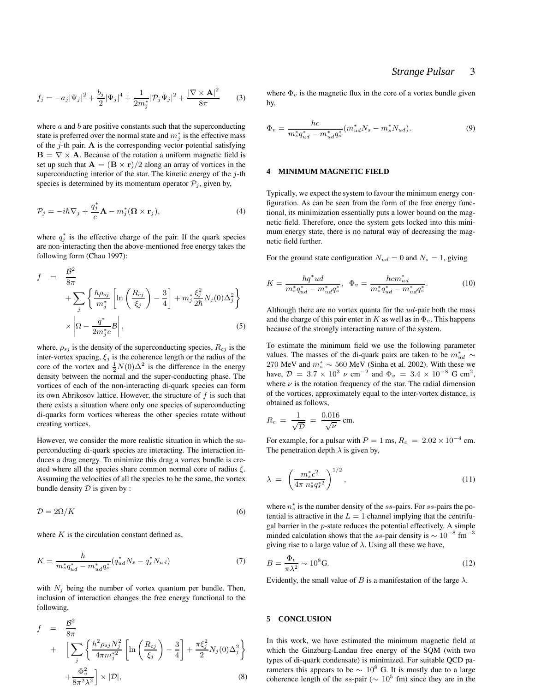$$
f_j = -a_j |\Psi_j|^2 + \frac{b_j}{2} |\Psi_j|^4 + \frac{1}{2m_j^*} |\mathcal{P}_j \Psi_j|^2 + \frac{|\nabla \times \mathbf{A}|^2}{8\pi} \qquad (3)
$$

where  $a$  and  $b$  are positive constants such that the superconducting state is preferred over the normal state and  $m_j^*$  is the effective mass of the  $j$ -th pair. A is the corresponding vector potential satisfying  $\mathbf{B} = \nabla \times \mathbf{A}$ . Because of the rotation a uniform magnetic field is set up such that  $\mathbf{A} = (\mathbf{B} \times \mathbf{r})/2$  along an array of vortices in the superconducting interior of the star. The kinetic energy of the  $j$ -th species is determined by its momentum operator  $\mathcal{P}_i$ , given by,

$$
\mathcal{P}_j = -i\hbar \nabla_j + \frac{q_j^*}{c} \mathbf{A} - m_j^* (\mathbf{\Omega} \times \mathbf{r}_j), \tag{4}
$$

where  $q_j^*$  is the effective charge of the pair. If the quark species are non-interacting then the above-mentioned free energy takes the following form (Chau 1997):

$$
f = \frac{B^2}{8\pi} + \sum_{j} \left\{ \frac{\hbar \rho_{sj}}{m_j^*} \left[ \ln \left( \frac{R_{cj}}{\xi_j} \right) - \frac{3}{4} \right] + m_j^* \frac{\xi_j^2}{2\hbar} N_j(0) \Delta_j^2 \right\} \times \left| \Omega - \frac{q^*}{2m_j^* c} \mathcal{B} \right|, \tag{5}
$$

where,  $\rho_{s,j}$  is the density of the superconducting species,  $R_{c,j}$  is the inter-vortex spacing,  $\xi_j$  is the coherence length or the radius of the core of the vortex and  $\frac{1}{2}N(0)\Delta^2$  is the difference in the energy density between the normal and the super-conducting phase. The vortices of each of the non-interacting di-quark species can form its own Abrikosov lattice. However, the structure of  $f$  is such that there exists a situation where only one species of superconducting di-quarks form vortices whereas the other species rotate without creating vortices.

However, we consider the more realistic situation in which the superconducting di-quark species are interacting. The interaction induces a drag energy. To minimize this drag a vortex bundle is created where all the species share common normal core of radius  $\xi$ . Assuming the velocities of all the species to be the same, the vortex bundle density  $D$  is given by :

$$
\mathcal{D} = 2\Omega/K\tag{6}
$$

where  $K$  is the circulation constant defined as,

$$
K = \frac{h}{m_s^* q_{ud}^* - m_{ud}^* q_s^*} (q_{ud}^* N_s - q_s^* N_{ud})
$$
\n<sup>(7)</sup>

with  $N_i$  being the number of vortex quantum per bundle. Then, inclusion of interaction changes the free energy functional to the following,

$$
f = \frac{B^2}{8\pi}
$$
  
+ 
$$
\left[\sum_{j} \left\{ \frac{h^2 \rho_{sj} N_j^2}{4\pi m_j^{*2}} \left[ \ln \left( \frac{R_{cj}}{\xi_j} \right) - \frac{3}{4} \right] + \frac{\pi \xi_j^2}{2} N_j(0) \Delta_j^2 \right\} + \frac{\Phi_v^2}{8\pi^2 \lambda^2} \right] \times |\mathcal{D}|,
$$
 (8)

where  $\Phi_v$  is the magnetic flux in the core of a vortex bundle given by,

$$
\Phi_v = \frac{hc}{m_s^* q_{ud}^* - m_{ud}^* q_s^*} (m_{ud}^* N_s - m_s^* N_{ud}). \tag{9}
$$

#### **4 MINIMUM MAGNETIC FIELD**

Typically, we expect the system to favour the minimum energy configuration. As can be seen from the form of the free energy functional, its minimization essentially puts a lower bound on the magnetic field. Therefore, once the system gets locked into this minimum energy state, there is no natural way of decreasing the magnetic field further.

For the ground state configuration  $N_{ud} = 0$  and  $N_s = 1$ , giving

$$
K = \frac{hq^*ud}{m_s^*q_{ud}^* - m_{ud}^*q_s^*}, \quad \Phi_v = \frac{hcm_{ud}^*}{m_s^*q_{ud}^* - m_{ud}^*q_s^*}.\tag{10}
$$

Although there are no vortex quanta for the  $ud$ -pair both the mass and the charge of this pair enter in K as well as in  $\Phi_{\nu}$ . This happens because of the strongly interacting nature of the system.

To estimate the minimum field we use the following parameter values. The masses of the di-quark pairs are taken to be  $m_{ud}^* \sim$ 270 MeV and  $m_s^* \sim 560$  MeV (Sinha et al. 2002). With these we have,  $\mathcal{D} = 3.7 \times 10^3 \text{ }\nu \text{ cm}^{-2}$  and  $\Phi_v = 3.4 \times 10^{-8} \text{ G cm}^2$ , where  $\nu$  is the rotation frequency of the star. The radial dimension of the vortices, approximately equal to the inter-vortex distance, is obtained as follows,

$$
R_c = \frac{1}{\sqrt{D}} = \frac{0.016}{\sqrt{\nu}} \text{ cm}.
$$

For example, for a pulsar with  $P = 1$  ms,  $R_c = 2.02 \times 10^{-4}$  cm. The penetration depth  $\lambda$  is given by,

$$
\lambda = \left(\frac{m_s^* c^2}{4\pi n_s^* q_s^{*2}}\right)^{1/2},\tag{11}
$$

where  $n_s^*$  is the number density of the  $ss$ -pairs. For  $ss$ -pairs the potential is attractive in the  $L = 1$  channel implying that the centrifugal barrier in the  $p$ -state reduces the potential effectively. A simple minded calculation shows that the ss-pair density is  $\sim 10^{-8}$  fm<sup>-3</sup> giving rise to a large value of  $\lambda$ . Using all these we have,

$$
B = \frac{\Phi_v}{\pi \lambda^2} \sim 10^8 \text{G}.
$$
 (12)

Evidently, the small value of B is a manifestation of the large  $\lambda$ .

#### **5 CONCLUSION**

In this work, we have estimated the minimum magnetic field at which the Ginzburg-Landau free energy of the SQM (with two types of di-quark condensate) is minimized. For suitable QCD parameters this appears to be  $\sim 10^8$  G. It is mostly due to a large coherence length of the ss-pair ( $\sim 10^5$  fm) since they are in the